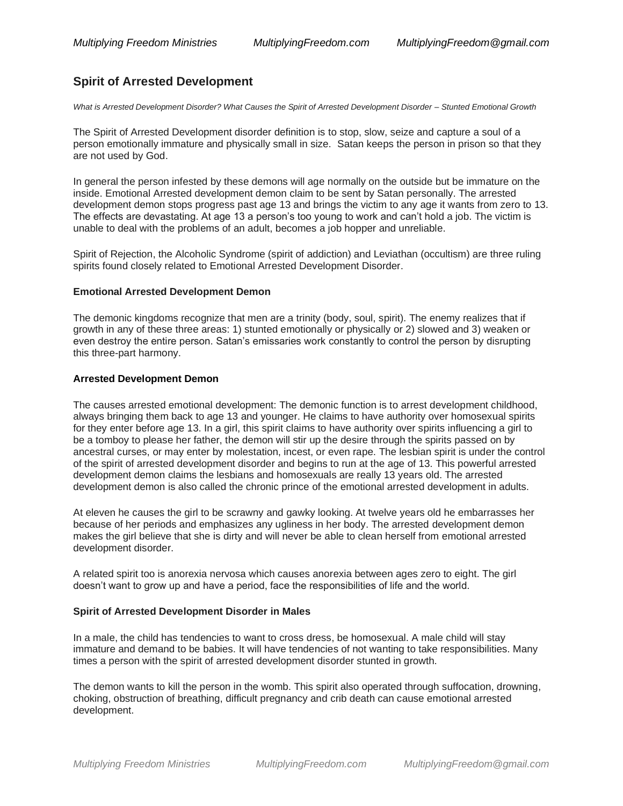# **Spirit of Arrested Development**

*What is Arrested Development Disorder? What Causes the Spirit of Arrested Development Disorder – Stunted Emotional Growth*

The Spirit of Arrested Development disorder definition is to stop, slow, seize and capture a soul of a person emotionally immature and physically small in size. Satan keeps the person in prison so that they are not used by God.

In general the person infested by these demons will age normally on the outside but be immature on the inside. Emotional Arrested development demon claim to be sent by Satan personally. The arrested development demon stops progress past age 13 and brings the victim to any age it wants from zero to 13. The effects are devastating. At age 13 a person's too young to work and can't hold a job. The victim is unable to deal with the problems of an adult, becomes a job hopper and unreliable.

Spirit of Rejection, the Alcoholic Syndrome (spirit of addiction) and Leviathan (occultism) are three ruling spirits found closely related to Emotional Arrested Development Disorder.

### **Emotional Arrested Development Demon**

The demonic kingdoms recognize that men are a trinity (body, soul, spirit). The enemy realizes that if growth in any of these three areas: 1) stunted emotionally or physically or 2) slowed and 3) weaken or even destroy the entire person. Satan's emissaries work constantly to control the person by disrupting this three-part harmony.

### **Arrested Development Demon**

The causes arrested emotional development: The demonic function is to arrest development childhood, always bringing them back to age 13 and younger. He claims to have authority over homosexual spirits for they enter before age 13. In a girl, this spirit claims to have authority over spirits influencing a girl to be a tomboy to please her father, the demon will stir up the desire through the spirits passed on by ancestral curses, or may enter by molestation, incest, or even rape. The lesbian spirit is under the control of the spirit of arrested development disorder and begins to run at the age of 13. This powerful arrested development demon claims the lesbians and homosexuals are really 13 years old. The arrested development demon is also called the chronic prince of the emotional arrested development in adults.

At eleven he causes the girl to be scrawny and gawky looking. At twelve years old he embarrasses her because of her periods and emphasizes any ugliness in her body. The arrested development demon makes the girl believe that she is dirty and will never be able to clean herself from emotional arrested development disorder.

A related spirit too is anorexia nervosa which causes anorexia between ages zero to eight. The girl doesn't want to grow up and have a period, face the responsibilities of life and the world.

### **Spirit of Arrested Development Disorder in Males**

In a male, the child has tendencies to want to cross dress, be homosexual. A male child will stay immature and demand to be babies. It will have tendencies of not wanting to take responsibilities. Many times a person with the spirit of arrested development disorder stunted in growth.

The demon wants to kill the person in the womb. This spirit also operated through suffocation, drowning, choking, obstruction of breathing, difficult pregnancy and crib death can cause emotional arrested development.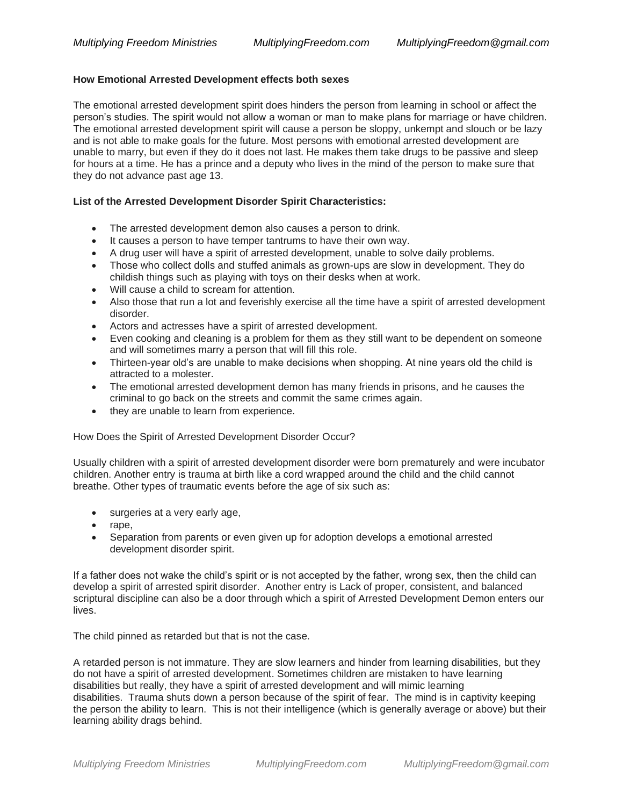#### **How Emotional Arrested Development effects both sexes**

The emotional arrested development spirit does hinders the person from learning in school or affect the person's studies. The spirit would not allow a woman or man to make plans for marriage or have children. The emotional arrested development spirit will cause a person be sloppy, unkempt and slouch or be lazy and is not able to make goals for the future. Most persons with emotional arrested development are unable to marry, but even if they do it does not last. He makes them take drugs to be passive and sleep for hours at a time. He has a prince and a deputy who lives in the mind of the person to make sure that they do not advance past age 13.

### **List of the Arrested Development Disorder Spirit Characteristics:**

- The arrested development demon also causes a person to drink.
- It causes a person to have temper tantrums to have their own way.
- A drug user will have a spirit of arrested development, unable to solve daily problems.
- Those who collect dolls and stuffed animals as grown-ups are slow in development. They do childish things such as playing with toys on their desks when at work.
- Will cause a child to scream for attention.
- Also those that run a lot and feverishly exercise all the time have a spirit of arrested development disorder.
- Actors and actresses have a spirit of arrested development.
- Even cooking and cleaning is a problem for them as they still want to be dependent on someone and will sometimes marry a person that will fill this role.
- Thirteen-year old's are unable to make decisions when shopping. At nine years old the child is attracted to a molester.
- The emotional arrested development demon has many friends in prisons, and he causes the criminal to go back on the streets and commit the same crimes again.
- they are unable to learn from experience.

How Does the Spirit of Arrested Development Disorder Occur?

Usually children with a spirit of arrested development disorder were born prematurely and were incubator children. Another entry is trauma at birth like a cord wrapped around the child and the child cannot breathe. Other types of traumatic events before the age of six such as:

- surgeries at a very early age,
- rape,
- Separation from parents or even given up for adoption develops a emotional arrested development disorder spirit.

If a father does not wake the child's spirit or is not accepted by the father, wrong sex, then the child can develop a spirit of arrested spirit disorder. Another entry is Lack of proper, consistent, and balanced scriptural discipline can also be a door through which a spirit of Arrested Development Demon enters our lives.

The child pinned as retarded but that is not the case.

A retarded person is not immature. They are slow learners and hinder from learning disabilities, but they do not have a spirit of arrested development. Sometimes children are mistaken to have learning disabilities but really, they have a spirit of arrested development and will mimic learning disabilities. Trauma shuts down a person because of the spirit of fear. The mind is in captivity keeping the person the ability to learn. This is not their intelligence (which is generally average or above) but their learning ability drags behind.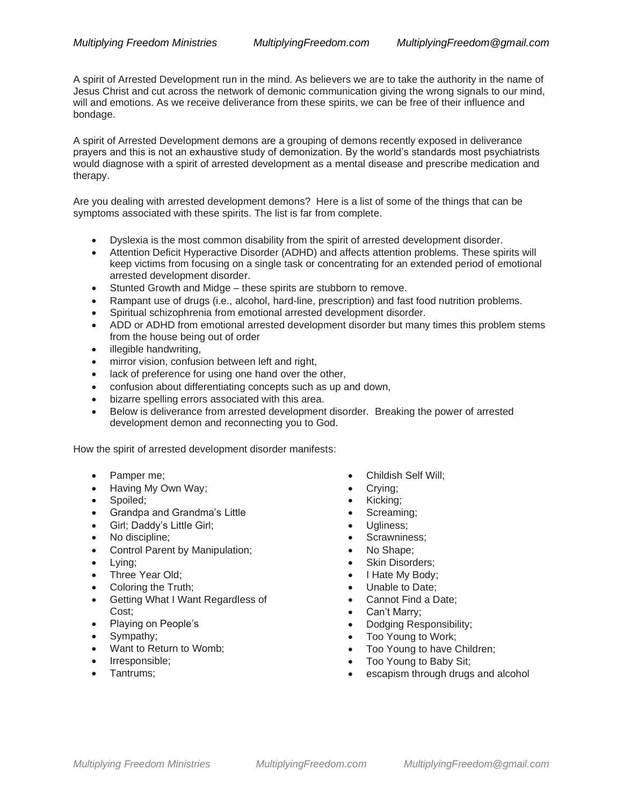A spirit of Arrested Development run in the mind. As believers we are to take the authority in the name of Jesus Christ and cut across the network of demonic communication giving the wrong signals to our mind, will and emotions. As we receive deliverance from these spirits, we can be free of their influence and bondage.

A spirit of Arrested Development demons are a grouping of demons recently exposed in deliverance prayers and this is not an exhaustive study of demonization. By the world's standards most psychiatrists would diagnose with a spirit of arrested development as a mental disease and prescribe medication and therapy.

Are you dealing with arrested development demons? Here is a list of some of the things that can be symptoms associated with these spirits. The list is far from complete.

- Dyslexia is the most common disability from the spirit of arrested development disorder.
- Attention Deficit Hyperactive Disorder (ADHD) and affects attention problems. These spirits will keep victims from focusing on a single task or concentrating for an extended period of emotional arrested development disorder.
- Stunted Growth and Midge these spirits are stubborn to remove.
- Rampant use of drugs (i.e., alcohol, hard-line, prescription) and fast food nutrition problems.
- Spiritual schizophrenia from emotional arrested development disorder.
- ADD or ADHD from emotional arrested development disorder but many times this problem stems from the house being out of order
- illegible handwriting,
- mirror vision, confusion between left and right,
- lack of preference for using one hand over the other,
- confusion about differentiating concepts such as up and down,
- bizarre spelling errors associated with this area.
- Below is deliverance from arrested development disorder. Breaking the power of arrested development demon and reconnecting you to God.

How the spirit of arrested development disorder manifests:

- Pamper me;
- Having My Own Way;
- Spoiled;
- Grandpa and Grandma's Little
- Girl; Daddy's Little Girl;
- No discipline;
- Control Parent by Manipulation;
- Lying;
- Three Year Old;
- Coloring the Truth;
- Getting What I Want Regardless of Cost;
- Playing on People's
- Sympathy;
- Want to Return to Womb;
- Irresponsible;
- Tantrums;
- Childish Self Will;
- Crying;
- Kicking;
- Screaming;
- Ugliness;
- Scrawniness;
- No Shape;
- Skin Disorders;
- I Hate My Body;
- Unable to Date;
- Cannot Find a Date;
- Can't Marry;
- Dodging Responsibility;
- Too Young to Work;
- Too Young to have Children;
- Too Young to Baby Sit;
- escapism through drugs and alcohol